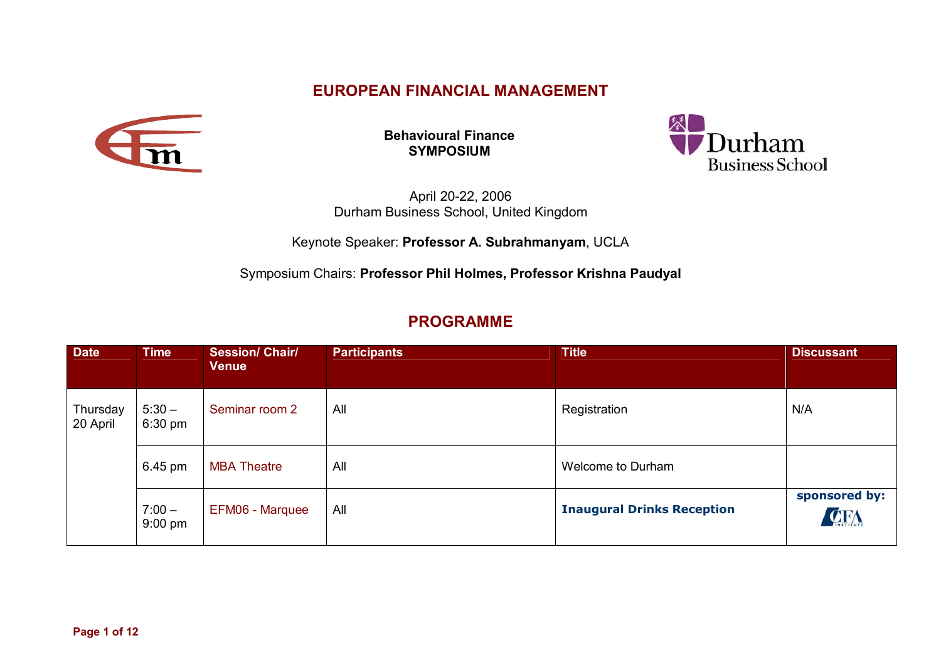## **EUROPEAN FINANCIAL MANAGEMENT**



**Behavioural Finance SYMPOSIUM** 



April 20-22, 2006 Durham Business School, United Kingdom

## Keynote Speaker: **Professor A. Subrahmanyam**, UCLA

Symposium Chairs: **Professor Phil Holmes, Professor Krishna Paudyal**

## **PROGRAMME**

| <b>Date</b>          | <b>Time</b>           | <b>Session/ Chair/</b><br><b>Venue</b> | <b>Participants</b> | <b>Title</b>                      | <b>Discussant</b>    |
|----------------------|-----------------------|----------------------------------------|---------------------|-----------------------------------|----------------------|
| Thursday<br>20 April | $5:30 -$<br>6:30 pm   | Seminar room 2                         | All                 | Registration                      | N/A                  |
|                      | 6.45 pm               | <b>MBA Theatre</b>                     | All                 | Welcome to Durham                 |                      |
|                      | $7:00 -$<br>$9:00$ pm | EFM06 - Marquee                        | All                 | <b>Inaugural Drinks Reception</b> | sponsored by:<br>CFA |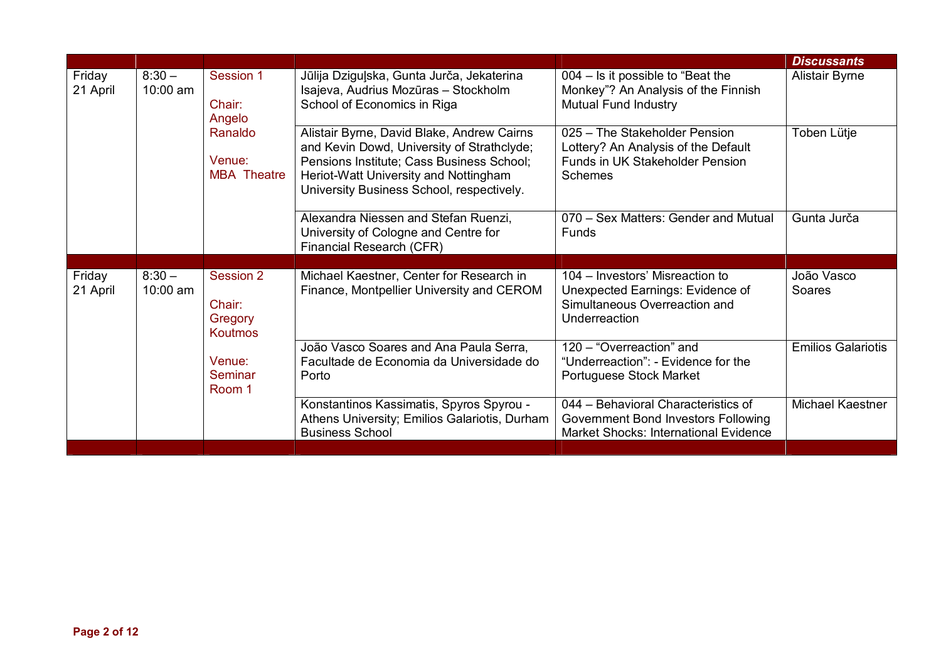|                    |                        |                                                                          |                                                                                                                                                                                                                             |                                                                                                                            | <b>Discussants</b>        |
|--------------------|------------------------|--------------------------------------------------------------------------|-----------------------------------------------------------------------------------------------------------------------------------------------------------------------------------------------------------------------------|----------------------------------------------------------------------------------------------------------------------------|---------------------------|
| Friday<br>21 April | $8:30 -$<br>$10:00$ am | Session 1<br>Chair:<br>Angelo<br>Ranaldo<br>Venue:<br><b>MBA</b> Theatre | Jūlija Dziguļska, Gunta Jurča, Jekaterina<br>Isajeva, Audrius Mozūras - Stockholm<br>School of Economics in Riga                                                                                                            | 004 - Is it possible to "Beat the<br>Monkey"? An Analysis of the Finnish<br><b>Mutual Fund Industry</b>                    | <b>Alistair Byrne</b>     |
|                    |                        |                                                                          | Alistair Byrne, David Blake, Andrew Cairns<br>and Kevin Dowd, University of Strathclyde;<br>Pensions Institute; Cass Business School;<br>Heriot-Watt University and Nottingham<br>University Business School, respectively. | 025 - The Stakeholder Pension<br>Lottery? An Analysis of the Default<br>Funds in UK Stakeholder Pension<br><b>Schemes</b>  | Toben Lütje               |
|                    |                        |                                                                          | Alexandra Niessen and Stefan Ruenzi,<br>University of Cologne and Centre for<br>Financial Research (CFR)                                                                                                                    | 070 - Sex Matters: Gender and Mutual<br>Funds                                                                              | Gunta Jurča               |
|                    |                        |                                                                          |                                                                                                                                                                                                                             |                                                                                                                            |                           |
| Friday<br>21 April | $8:30 -$<br>10:00 am   | Session 2                                                                | Michael Kaestner, Center for Research in                                                                                                                                                                                    | 104 – Investors' Misreaction to                                                                                            | João Vasco                |
|                    |                        | Chair:<br>Gregory<br><b>Koutmos</b>                                      | Finance, Montpellier University and CEROM                                                                                                                                                                                   | Unexpected Earnings: Evidence of<br>Simultaneous Overreaction and<br>Underreaction                                         | Soares                    |
|                    |                        | Venue:<br>Seminar<br>Room 1                                              | João Vasco Soares and Ana Paula Serra,<br>Facultade de Economia da Universidade do<br>Porto                                                                                                                                 | 120 - "Overreaction" and<br>"Underreaction": - Evidence for the<br>Portuguese Stock Market                                 | <b>Emilios Galariotis</b> |
|                    |                        |                                                                          | Konstantinos Kassimatis, Spyros Spyrou -<br>Athens University; Emilios Galariotis, Durham<br><b>Business School</b>                                                                                                         | 044 - Behavioral Characteristics of<br>Government Bond Investors Following<br><b>Market Shocks: International Evidence</b> | Michael Kaestner          |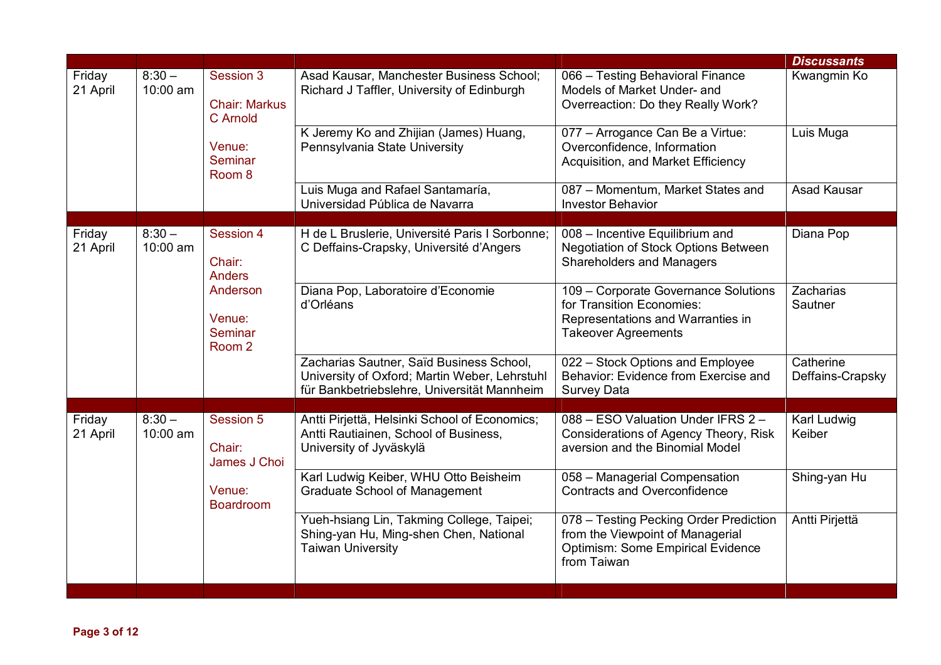|                    |                      |                                                    |                                                                                                                                          |                                                                                                                                       | <b>Discussants</b>            |
|--------------------|----------------------|----------------------------------------------------|------------------------------------------------------------------------------------------------------------------------------------------|---------------------------------------------------------------------------------------------------------------------------------------|-------------------------------|
| Friday<br>21 April | $8:30 -$<br>10:00 am | Session 3<br><b>Chair: Markus</b><br>C Arnold      | Asad Kausar, Manchester Business School;<br>Richard J Taffler, University of Edinburgh                                                   | 066 - Testing Behavioral Finance<br>Models of Market Under- and<br>Overreaction: Do they Really Work?                                 | Kwangmin Ko                   |
|                    |                      | Venue:<br>Seminar<br>Room <sub>8</sub>             | K Jeremy Ko and Zhijian (James) Huang,<br>Pennsylvania State University                                                                  | 077 - Arrogance Can Be a Virtue:<br>Overconfidence, Information<br>Acquisition, and Market Efficiency                                 | Luis Muga                     |
|                    |                      |                                                    | Luis Muga and Rafael Santamaría,<br>Universidad Pública de Navarra                                                                       | 087 - Momentum, Market States and<br><b>Investor Behavior</b>                                                                         | <b>Asad Kausar</b>            |
| Friday<br>21 April | $8:30 -$<br>10:00 am | Session 4<br>Chair:<br><b>Anders</b>               | H de L Bruslerie, Université Paris I Sorbonne;<br>C Deffains-Crapsky, Université d'Angers                                                | 008 - Incentive Equilibrium and<br>Negotiation of Stock Options Between<br><b>Shareholders and Managers</b>                           | Diana Pop                     |
|                    |                      | Anderson<br>Venue:<br>Seminar<br>Room <sub>2</sub> | Diana Pop, Laboratoire d'Economie<br>d'Orléans                                                                                           | 109 - Corporate Governance Solutions<br>for Transition Economies:<br>Representations and Warranties in<br><b>Takeover Agreements</b>  | Zacharias<br>Sautner          |
|                    |                      |                                                    | Zacharias Sautner, Saïd Business School,<br>University of Oxford; Martin Weber, Lehrstuhl<br>für Bankbetriebslehre, Universität Mannheim | 022 - Stock Options and Employee<br>Behavior: Evidence from Exercise and<br><b>Survey Data</b>                                        | Catherine<br>Deffains-Crapsky |
|                    |                      |                                                    |                                                                                                                                          |                                                                                                                                       |                               |
| Friday<br>21 April | $8:30 -$<br>10:00 am | Session 5<br>Chair:<br>James J Choi                | Antti Pirjettä, Helsinki School of Economics;<br>Antti Rautiainen, School of Business,<br>University of Jyväskylä                        | 088 - ESO Valuation Under IFRS 2 -<br>Considerations of Agency Theory, Risk<br>aversion and the Binomial Model                        | Karl Ludwig<br>Keiber         |
|                    |                      | Venue:<br><b>Boardroom</b>                         | Karl Ludwig Keiber, WHU Otto Beisheim<br><b>Graduate School of Management</b>                                                            | 058 - Managerial Compensation<br><b>Contracts and Overconfidence</b>                                                                  | Shing-yan Hu                  |
|                    |                      |                                                    | Yueh-hsiang Lin, Takming College, Taipei;<br>Shing-yan Hu, Ming-shen Chen, National<br><b>Taiwan University</b>                          | 078 - Testing Pecking Order Prediction<br>from the Viewpoint of Managerial<br><b>Optimism: Some Empirical Evidence</b><br>from Taiwan | Antti Pirjettä                |
|                    |                      |                                                    |                                                                                                                                          |                                                                                                                                       |                               |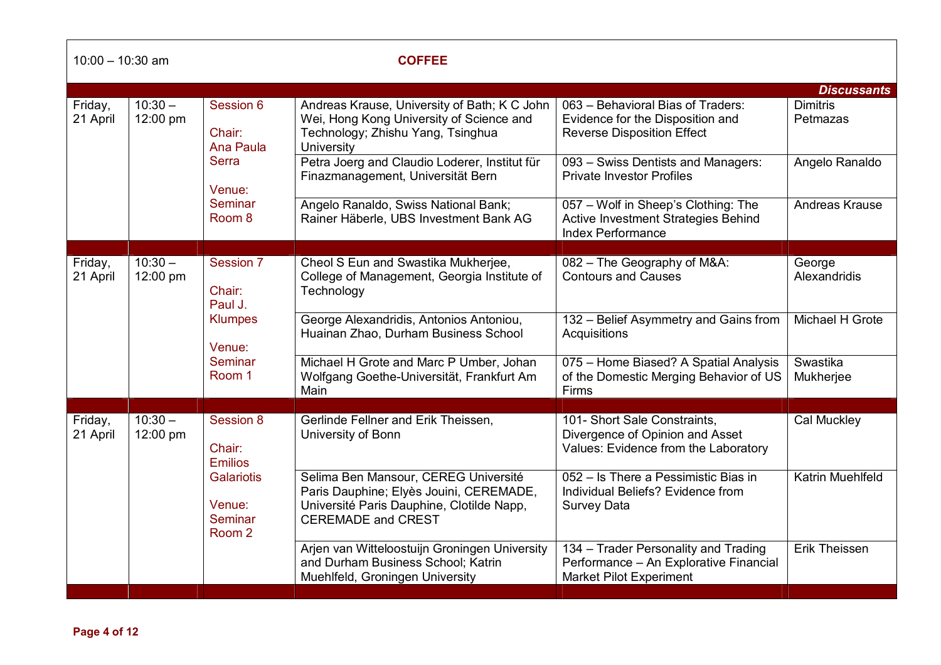| $10:00 - 10:30$ am  |                       |                                                    | <b>COFFEE</b>                                                                                                                                             |                                                                                                                  |                             |
|---------------------|-----------------------|----------------------------------------------------|-----------------------------------------------------------------------------------------------------------------------------------------------------------|------------------------------------------------------------------------------------------------------------------|-----------------------------|
|                     |                       |                                                    |                                                                                                                                                           |                                                                                                                  | <b>Discussants</b>          |
| Friday,<br>21 April | $10:30 -$<br>12:00 pm | Session 6<br>Chair:<br>Ana Paula                   | Andreas Krause, University of Bath; K C John<br>Wei, Hong Kong University of Science and<br>Technology; Zhishu Yang, Tsinghua<br>University               | 063 - Behavioral Bias of Traders:<br>Evidence for the Disposition and<br><b>Reverse Disposition Effect</b>       | <b>Dimitris</b><br>Petmazas |
|                     |                       | <b>Serra</b><br>Venue:                             | Petra Joerg and Claudio Loderer, Institut für<br>Finazmanagement, Universität Bern                                                                        | 093 - Swiss Dentists and Managers:<br><b>Private Investor Profiles</b>                                           | Angelo Ranaldo              |
|                     |                       | <b>Seminar</b><br>Room <sub>8</sub>                | Angelo Ranaldo, Swiss National Bank;<br>Rainer Häberle, UBS Investment Bank AG                                                                            | 057 - Wolf in Sheep's Clothing: The<br>Active Investment Strategies Behind<br><b>Index Performance</b>           | <b>Andreas Krause</b>       |
|                     |                       |                                                    |                                                                                                                                                           |                                                                                                                  |                             |
| Friday,<br>21 April | $10:30 -$<br>12:00 pm | Session 7<br>Chair:<br>Paul J.                     | Cheol S Eun and Swastika Mukherjee,<br>College of Management, Georgia Institute of<br>Technology                                                          | 082 - The Geography of M&A:<br><b>Contours and Causes</b>                                                        | George<br>Alexandridis      |
|                     |                       | <b>Klumpes</b><br>Venue:<br>Seminar<br>Room 1      | George Alexandridis, Antonios Antoniou,<br>Huainan Zhao, Durham Business School                                                                           | 132 - Belief Asymmetry and Gains from<br>Acquisitions                                                            | Michael H Grote             |
|                     |                       |                                                    | Michael H Grote and Marc P Umber, Johan<br>Wolfgang Goethe-Universität, Frankfurt Am<br>Main                                                              | 075 - Home Biased? A Spatial Analysis<br>of the Domestic Merging Behavior of US<br>Firms                         | Swastika<br>Mukherjee       |
|                     |                       |                                                    |                                                                                                                                                           |                                                                                                                  |                             |
| Friday,<br>21 April | 12:00 pm              | $10:30 -$<br>Session 8<br>Chair:<br><b>Emilios</b> | Gerlinde Fellner and Erik Theissen,<br>University of Bonn                                                                                                 | 101- Short Sale Constraints,<br>Divergence of Opinion and Asset<br>Values: Evidence from the Laboratory          | Cal Muckley                 |
|                     |                       | <b>Galariotis</b><br>Venue:<br>Seminar<br>Room 2   | Selima Ben Mansour, CEREG Université<br>Paris Dauphine; Elyès Jouini, CEREMADE,<br>Université Paris Dauphine, Clotilde Napp,<br><b>CEREMADE and CREST</b> | 052 - Is There a Pessimistic Bias in<br>Individual Beliefs? Evidence from<br><b>Survey Data</b>                  | Katrin Muehlfeld            |
|                     |                       |                                                    | Arjen van Witteloostuijn Groningen University<br>and Durham Business School; Katrin<br>Muehlfeld, Groningen University                                    | 134 - Trader Personality and Trading<br>Performance - An Explorative Financial<br><b>Market Pilot Experiment</b> | <b>Erik Theissen</b>        |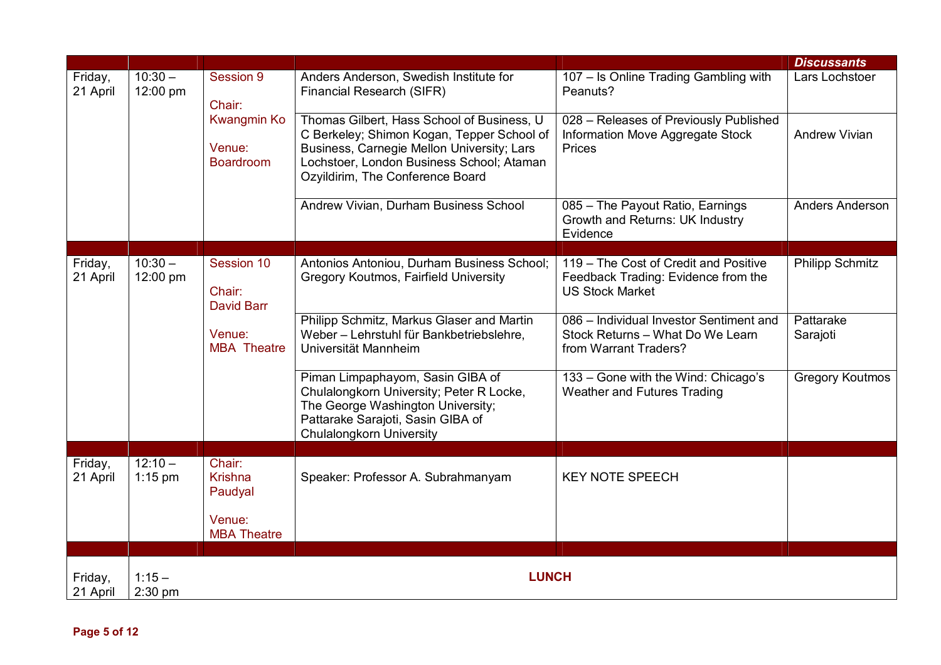|                     |                        |                                                                           |                                                                                                                                                                                                                         |                                                                                                        | <b>Discussants</b>     |
|---------------------|------------------------|---------------------------------------------------------------------------|-------------------------------------------------------------------------------------------------------------------------------------------------------------------------------------------------------------------------|--------------------------------------------------------------------------------------------------------|------------------------|
| Friday,<br>21 April | $10:30 -$<br>12:00 pm  | Session 9<br>Chair:<br>Kwangmin Ko<br>Venue:<br><b>Boardroom</b>          | Anders Anderson, Swedish Institute for<br>Financial Research (SIFR)                                                                                                                                                     | 107 - Is Online Trading Gambling with<br>Peanuts?                                                      | Lars Lochstoer         |
|                     |                        |                                                                           | Thomas Gilbert, Hass School of Business, U<br>C Berkeley; Shimon Kogan, Tepper School of<br>Business, Carnegie Mellon University; Lars<br>Lochstoer, London Business School; Ataman<br>Ozyildirim, The Conference Board | 028 - Releases of Previously Published<br>Information Move Aggregate Stock<br><b>Prices</b>            | <b>Andrew Vivian</b>   |
|                     |                        |                                                                           | Andrew Vivian, Durham Business School                                                                                                                                                                                   | 085 - The Payout Ratio, Earnings<br>Growth and Returns: UK Industry<br>Evidence                        | Anders Anderson        |
|                     |                        |                                                                           |                                                                                                                                                                                                                         |                                                                                                        |                        |
| Friday,<br>21 April | $10:30 -$<br>12:00 pm  | Session 10<br>Chair:<br><b>David Barr</b><br>Venue:<br><b>MBA</b> Theatre | Antonios Antoniou, Durham Business School;<br><b>Gregory Koutmos, Fairfield University</b>                                                                                                                              | 119 - The Cost of Credit and Positive<br>Feedback Trading: Evidence from the<br><b>US Stock Market</b> | <b>Philipp Schmitz</b> |
|                     |                        |                                                                           | Philipp Schmitz, Markus Glaser and Martin<br>Weber - Lehrstuhl für Bankbetriebslehre,<br>Universität Mannheim                                                                                                           | 086 - Individual Investor Sentiment and<br>Stock Returns - What Do We Learn<br>from Warrant Traders?   | Pattarake<br>Sarajoti  |
|                     |                        |                                                                           | Piman Limpaphayom, Sasin GIBA of<br>Chulalongkorn University; Peter R Locke,<br>The George Washington University;<br>Pattarake Sarajoti, Sasin GIBA of<br><b>Chulalongkorn University</b>                               | 133 - Gone with the Wind: Chicago's<br><b>Weather and Futures Trading</b>                              | <b>Gregory Koutmos</b> |
|                     |                        |                                                                           |                                                                                                                                                                                                                         |                                                                                                        |                        |
| Friday,<br>21 April | $12:10 -$<br>$1:15$ pm | Chair:<br><b>Krishna</b><br>Paudyal                                       | Speaker: Professor A. Subrahmanyam                                                                                                                                                                                      | <b>KEY NOTE SPEECH</b>                                                                                 |                        |
|                     |                        | Venue:<br><b>MBA Theatre</b>                                              |                                                                                                                                                                                                                         |                                                                                                        |                        |
|                     |                        |                                                                           |                                                                                                                                                                                                                         |                                                                                                        |                        |
| Friday,<br>21 April | $1:15 -$<br>$2:30$ pm  |                                                                           | <b>LUNCH</b>                                                                                                                                                                                                            |                                                                                                        |                        |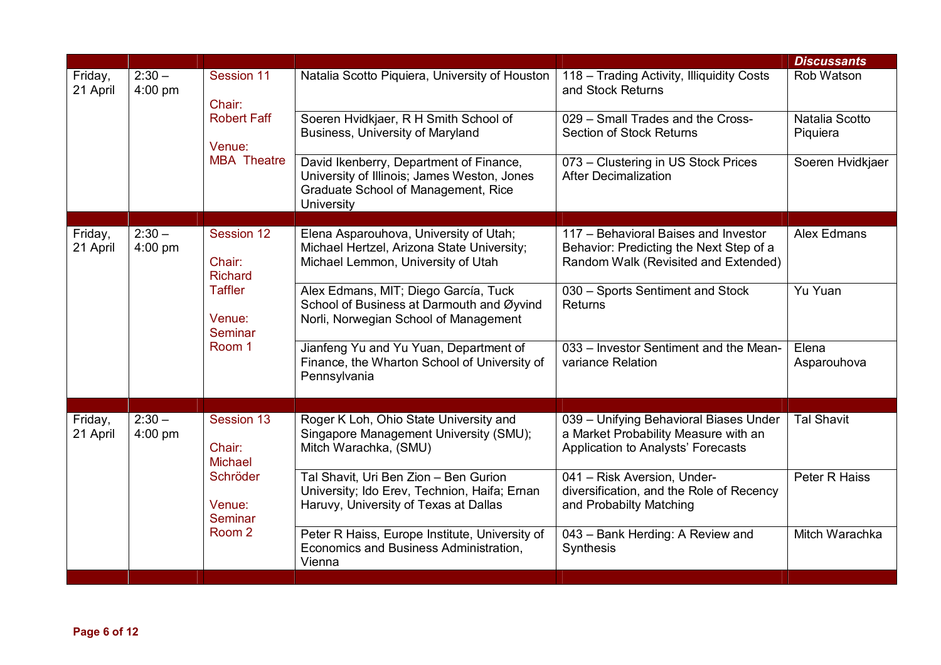|                     |                       |                                               |                                                                                                                                                    |                                                                                 | <b>Discussants</b>         |
|---------------------|-----------------------|-----------------------------------------------|----------------------------------------------------------------------------------------------------------------------------------------------------|---------------------------------------------------------------------------------|----------------------------|
| Friday,<br>21 April | $2:30 -$<br>$4:00$ pm | Session 11<br>Chair:                          | Natalia Scotto Piquiera, University of Houston                                                                                                     | 118 - Trading Activity, Illiquidity Costs<br>and Stock Returns                  | Rob Watson                 |
|                     |                       | <b>Robert Faff</b><br>Venue:                  | Soeren Hvidkjaer, R H Smith School of<br>Business, University of Maryland                                                                          | 029 - Small Trades and the Cross-<br><b>Section of Stock Returns</b>            | Natalia Scotto<br>Piquiera |
|                     |                       | <b>MBA</b> Theatre                            | David Ikenberry, Department of Finance,<br>University of Illinois; James Weston, Jones<br>Graduate School of Management, Rice<br><b>University</b> | 073 - Clustering in US Stock Prices<br><b>After Decimalization</b>              | Soeren Hvidkjaer           |
| Friday,             | $2:30 -$              | Session 12                                    | Elena Asparouhova, University of Utah;                                                                                                             | 117 - Behavioral Baises and Investor                                            | Alex Edmans                |
| 21 April            | $4:00$ pm             | Chair:<br><b>Richard</b>                      | Michael Hertzel, Arizona State University;<br>Michael Lemmon, University of Utah                                                                   | Behavior: Predicting the Next Step of a<br>Random Walk (Revisited and Extended) |                            |
|                     |                       | <b>Taffler</b><br>Venue:<br>Seminar<br>Room 1 | Alex Edmans, MIT; Diego García, Tuck<br>School of Business at Darmouth and Øyvind<br>Norli, Norwegian School of Management                         | 030 - Sports Sentiment and Stock<br><b>Returns</b>                              | Yu Yuan                    |
|                     |                       |                                               | Jianfeng Yu and Yu Yuan, Department of<br>Finance, the Wharton School of University of<br>Pennsylvania                                             | 033 - Investor Sentiment and the Mean-<br>variance Relation                     | Elena<br>Asparouhova       |
| Friday,             | $2:30 -$              | Session 13                                    | Roger K Loh, Ohio State University and                                                                                                             | 039 - Unifying Behavioral Biases Under                                          | <b>Tal Shavit</b>          |
| 21 April            | $4:00$ pm             | Chair:<br><b>Michael</b>                      | Singapore Management University (SMU);<br>Mitch Warachka, (SMU)                                                                                    | a Market Probability Measure with an<br>Application to Analysts' Forecasts      |                            |
|                     |                       | Schröder                                      | Tal Shavit, Uri Ben Zion - Ben Gurion<br>University; Ido Erev, Technion, Haifa; Ernan                                                              | 041 - Risk Aversion, Under-<br>diversification, and the Role of Recency         | Peter R Haiss              |
|                     |                       | Venue:<br>Seminar                             | Haruvy, University of Texas at Dallas                                                                                                              | and Probabilty Matching                                                         |                            |
|                     |                       | Room <sub>2</sub>                             | Peter R Haiss, Europe Institute, University of<br>Economics and Business Administration,<br>Vienna                                                 | 043 - Bank Herding: A Review and<br>Synthesis                                   | Mitch Warachka             |
|                     |                       |                                               |                                                                                                                                                    |                                                                                 |                            |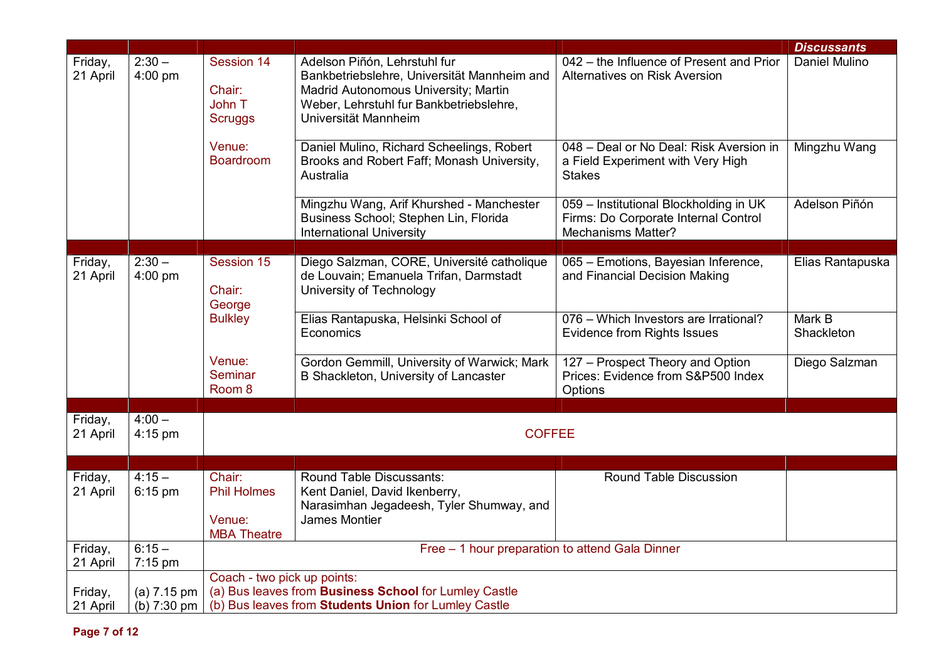|                     |                              |                                                  |                                                                                                                                                                                        |                                                                                                             | <b>Discussants</b>   |
|---------------------|------------------------------|--------------------------------------------------|----------------------------------------------------------------------------------------------------------------------------------------------------------------------------------------|-------------------------------------------------------------------------------------------------------------|----------------------|
| Friday,<br>21 April | $2:30 -$<br>4:00 pm          | Session 14<br>Chair:<br>John T<br><b>Scruggs</b> | Adelson Piñón, Lehrstuhl fur<br>Bankbetriebslehre, Universität Mannheim and<br>Madrid Autonomous University; Martin<br>Weber, Lehrstuhl fur Bankbetriebslehre,<br>Universität Mannheim | 042 - the Influence of Present and Prior<br>Alternatives on Risk Aversion                                   | Daniel Mulino        |
|                     |                              | Venue:<br><b>Boardroom</b>                       | Daniel Mulino, Richard Scheelings, Robert<br>Brooks and Robert Faff; Monash University,<br>Australia                                                                                   | 048 - Deal or No Deal: Risk Aversion in<br>a Field Experiment with Very High<br><b>Stakes</b>               | Mingzhu Wang         |
|                     |                              |                                                  | Mingzhu Wang, Arif Khurshed - Manchester<br>Business School; Stephen Lin, Florida<br><b>International University</b>                                                                   | 059 - Institutional Blockholding in UK<br>Firms: Do Corporate Internal Control<br><b>Mechanisms Matter?</b> | Adelson Piñón        |
| Friday,             | $2:30 -$                     | Session 15                                       | Diego Salzman, CORE, Université catholique                                                                                                                                             | 065 - Emotions, Bayesian Inference,                                                                         | Elias Rantapuska     |
| 21 April            | 4:00 pm                      | Chair:<br>George                                 | de Louvain; Emanuela Trifan, Darmstadt<br>University of Technology                                                                                                                     | and Financial Decision Making                                                                               |                      |
|                     |                              | <b>Bulkley</b>                                   | Elias Rantapuska, Helsinki School of<br>Economics                                                                                                                                      | 076 - Which Investors are Irrational?<br><b>Evidence from Rights Issues</b>                                 | Mark B<br>Shackleton |
|                     |                              | Venue:<br>Seminar<br>Room 8                      | Gordon Gemmill, University of Warwick; Mark<br>B Shackleton, University of Lancaster                                                                                                   | 127 - Prospect Theory and Option<br>Prices: Evidence from S&P500 Index<br>Options                           | Diego Salzman        |
|                     |                              |                                                  |                                                                                                                                                                                        |                                                                                                             |                      |
| Friday,<br>21 April | $4:00 -$<br>$4:15$ pm        |                                                  | <b>COFFEE</b>                                                                                                                                                                          |                                                                                                             |                      |
|                     |                              |                                                  |                                                                                                                                                                                        |                                                                                                             |                      |
| Friday,<br>21 April | $4:15-$<br>$6:15$ pm         | Chair:<br><b>Phil Holmes</b><br>Venue:           | Round Table Discussants:<br>Kent Daniel, David Ikenberry,<br>Narasimhan Jegadeesh, Tyler Shumway, and<br>James Montier                                                                 | Round Table Discussion                                                                                      |                      |
|                     |                              | <b>MBA Theatre</b>                               |                                                                                                                                                                                        |                                                                                                             |                      |
| Friday,<br>21 April | $6:15 -$<br>7:15 pm          |                                                  | Free - 1 hour preparation to attend Gala Dinner                                                                                                                                        |                                                                                                             |                      |
|                     |                              | Coach - two pick up points:                      |                                                                                                                                                                                        |                                                                                                             |                      |
| Friday,<br>21 April | $(a)$ 7.15 pm<br>(b) 7:30 pm |                                                  | (a) Bus leaves from Business School for Lumley Castle<br>(b) Bus leaves from Students Union for Lumley Castle                                                                          |                                                                                                             |                      |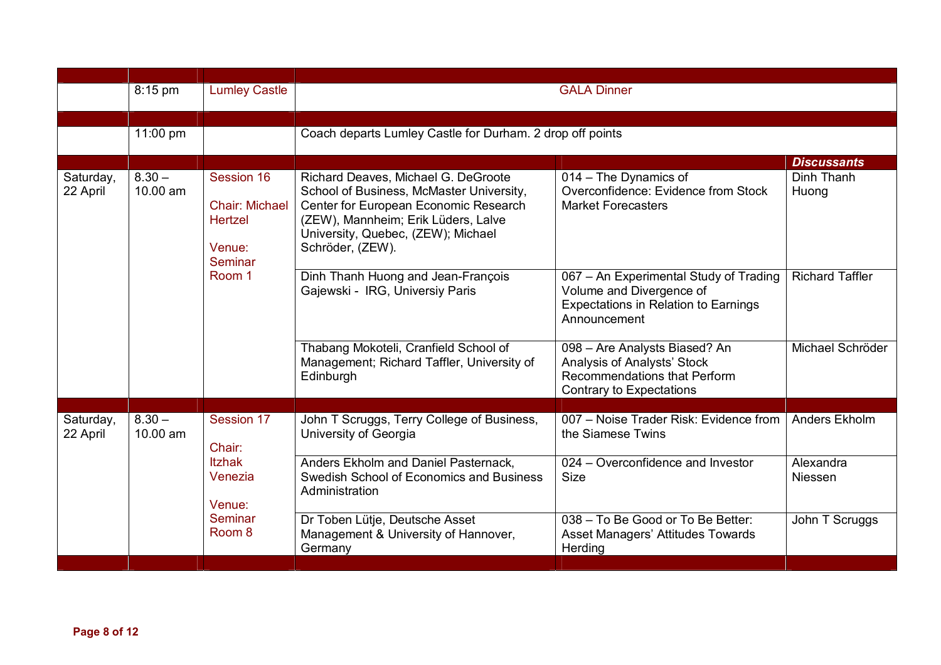| 11:00 pm |                                            |                                                                                                                                                                                    |                                                                                                                            |                                                                                                                                                    |
|----------|--------------------------------------------|------------------------------------------------------------------------------------------------------------------------------------------------------------------------------------|----------------------------------------------------------------------------------------------------------------------------|----------------------------------------------------------------------------------------------------------------------------------------------------|
|          |                                            |                                                                                                                                                                                    |                                                                                                                            | <b>Discussants</b>                                                                                                                                 |
| 10.00 am | <b>Chair: Michael</b><br>Hertzel<br>Venue: | School of Business, McMaster University,<br>Center for European Economic Research<br>(ZEW), Mannheim; Erik Lüders, Lalve<br>University, Quebec, (ZEW); Michael<br>Schröder, (ZEW). | Overconfidence: Evidence from Stock<br><b>Market Forecasters</b>                                                           | Dinh Thanh<br>Huong                                                                                                                                |
|          | Room 1                                     | Dinh Thanh Huong and Jean-François<br>Gajewski - IRG, Universiy Paris                                                                                                              | 067 - An Experimental Study of Trading<br>Volume and Divergence of<br>Expectations in Relation to Earnings<br>Announcement | <b>Richard Taffler</b>                                                                                                                             |
|          |                                            | Thabang Mokoteli, Cranfield School of<br>Management; Richard Taffler, University of<br>Edinburgh                                                                                   | 098 - Are Analysts Biased? An<br>Analysis of Analysts' Stock<br>Recommendations that Perform<br>Contrary to Expectations   | Michael Schröder                                                                                                                                   |
|          |                                            |                                                                                                                                                                                    |                                                                                                                            |                                                                                                                                                    |
| 10.00 am | Chair:                                     | University of Georgia                                                                                                                                                              | the Siamese Twins                                                                                                          | Anders Ekholm                                                                                                                                      |
|          | <b>Itzhak</b><br>Venezia                   | Anders Ekholm and Daniel Pasternack,<br>Swedish School of Economics and Business<br>Administration                                                                                 | 024 – Overconfidence and Investor<br><b>Size</b>                                                                           | Alexandra<br><b>Niessen</b>                                                                                                                        |
|          | Seminar<br>Room 8                          | Dr Toben Lütje, Deutsche Asset<br>Management & University of Hannover,<br>Germany                                                                                                  | 038 - To Be Good or To Be Better:<br><b>Asset Managers' Attitudes Towards</b><br>Herding                                   | John T Scruggs                                                                                                                                     |
|          | 8:15 pm<br>$8.30 -$<br>$8.30 -$            | <b>Lumley Castle</b><br>Session 16<br>Seminar<br>Session 17<br>Venue:                                                                                                              | Richard Deaves, Michael G. DeGroote<br>John T Scruggs, Terry College of Business,                                          | <b>GALA Dinner</b><br>Coach departs Lumley Castle for Durham. 2 drop off points<br>014 - The Dynamics of<br>007 - Noise Trader Risk: Evidence from |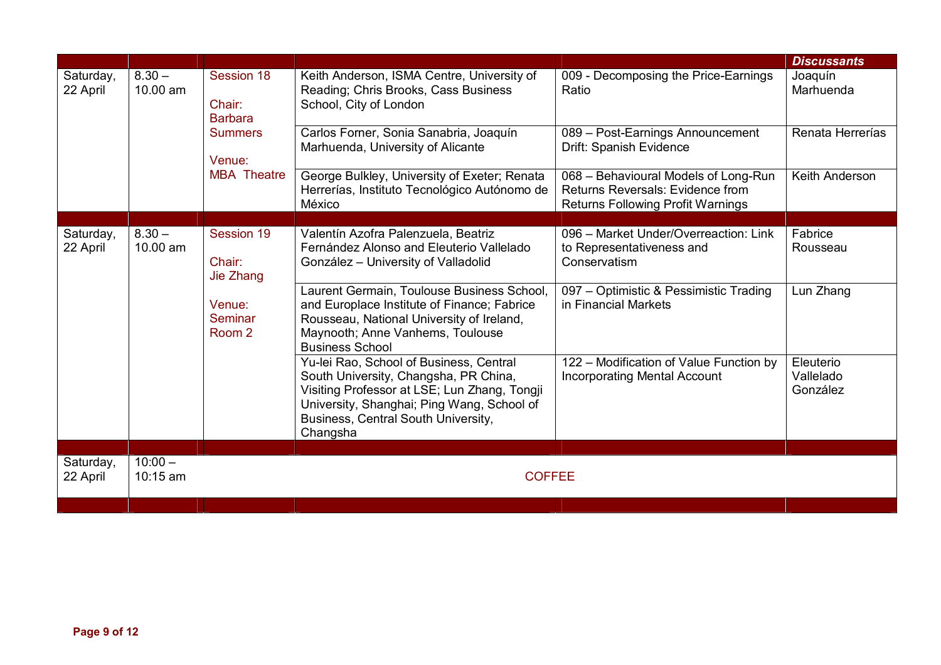|                       |                                |                                   |                                                                                                                                                                                                                                   |                                                                                                                      | <b>Discussants</b>                 |
|-----------------------|--------------------------------|-----------------------------------|-----------------------------------------------------------------------------------------------------------------------------------------------------------------------------------------------------------------------------------|----------------------------------------------------------------------------------------------------------------------|------------------------------------|
| Saturday,<br>22 April | $8.30 -$<br>10.00 am<br>Chair: | Session 18<br><b>Barbara</b>      | Keith Anderson, ISMA Centre, University of<br>Reading; Chris Brooks, Cass Business<br>School, City of London                                                                                                                      | 009 - Decomposing the Price-Earnings<br>Ratio                                                                        | Joaquín<br>Marhuenda               |
|                       |                                | <b>Summers</b><br>Venue:          | Carlos Forner, Sonia Sanabria, Joaquín<br>Marhuenda, University of Alicante                                                                                                                                                       | 089 - Post-Earnings Announcement<br>Drift: Spanish Evidence                                                          | Renata Herrerías                   |
|                       |                                | <b>MBA</b> Theatre                | George Bulkley, University of Exeter; Renata<br>Herrerías, Instituto Tecnológico Autónomo de<br>México                                                                                                                            | 068 - Behavioural Models of Long-Run<br>Returns Reversals: Evidence from<br><b>Returns Following Profit Warnings</b> | Keith Anderson                     |
|                       |                                |                                   |                                                                                                                                                                                                                                   |                                                                                                                      |                                    |
| Saturday,<br>22 April | $8.30 -$<br>10.00 am           | Session 19<br>Chair:<br>Jie Zhang | Valentín Azofra Palenzuela, Beatriz<br>Fernández Alonso and Eleuterio Vallelado<br>González - University of Valladolid                                                                                                            | 096 - Market Under/Overreaction: Link<br>to Representativeness and<br>Conservatism                                   | Fabrice<br>Rousseau                |
|                       |                                | Venue:<br>Seminar<br>Room 2       | Laurent Germain, Toulouse Business School,<br>and Europlace Institute of Finance; Fabrice<br>Rousseau, National University of Ireland,<br>Maynooth; Anne Vanhems, Toulouse<br><b>Business School</b>                              | 097 – Optimistic & Pessimistic Trading<br>in Financial Markets                                                       | Lun Zhang                          |
|                       |                                |                                   | Yu-lei Rao, School of Business, Central<br>South University, Changsha, PR China,<br>Visiting Professor at LSE; Lun Zhang, Tongji<br>University, Shanghai; Ping Wang, School of<br>Business, Central South University,<br>Changsha | 122 - Modification of Value Function by<br><b>Incorporating Mental Account</b>                                       | Eleuterio<br>Vallelado<br>González |
|                       |                                |                                   |                                                                                                                                                                                                                                   |                                                                                                                      |                                    |
| Saturday,<br>22 April | $10:00 -$<br>$10:15$ am        |                                   | <b>COFFEE</b>                                                                                                                                                                                                                     |                                                                                                                      |                                    |
|                       |                                |                                   |                                                                                                                                                                                                                                   |                                                                                                                      |                                    |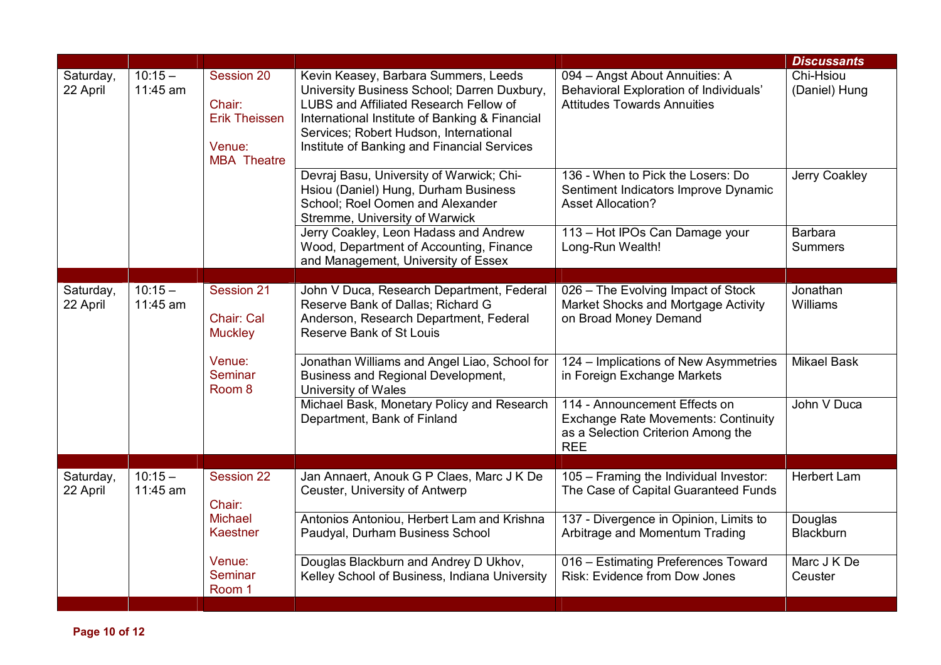|                       |                       |                                                                              |                                                                                                                                                                                                                                                                          |                                                                                                                                 | <b>Discussants</b>               |
|-----------------------|-----------------------|------------------------------------------------------------------------------|--------------------------------------------------------------------------------------------------------------------------------------------------------------------------------------------------------------------------------------------------------------------------|---------------------------------------------------------------------------------------------------------------------------------|----------------------------------|
| Saturday,<br>22 April | $10:15 -$<br>11:45 am | Session 20<br>Chair:<br><b>Erik Theissen</b><br>Venue:<br><b>MBA</b> Theatre | Kevin Keasey, Barbara Summers, Leeds<br>University Business School; Darren Duxbury,<br>LUBS and Affiliated Research Fellow of<br>International Institute of Banking & Financial<br>Services; Robert Hudson, International<br>Institute of Banking and Financial Services | 094 - Angst About Annuities: A<br>Behavioral Exploration of Individuals'<br><b>Attitudes Towards Annuities</b>                  | Chi-Hsiou<br>(Daniel) Hung       |
|                       |                       |                                                                              | Devraj Basu, University of Warwick; Chi-<br>Hsiou (Daniel) Hung, Durham Business<br>School; Roel Oomen and Alexander<br>Stremme, University of Warwick                                                                                                                   | 136 - When to Pick the Losers: Do<br>Sentiment Indicators Improve Dynamic<br><b>Asset Allocation?</b>                           | Jerry Coakley                    |
|                       |                       |                                                                              | Jerry Coakley, Leon Hadass and Andrew<br>Wood, Department of Accounting, Finance<br>and Management, University of Essex                                                                                                                                                  | 113 - Hot IPOs Can Damage your<br>Long-Run Wealth!                                                                              | <b>Barbara</b><br><b>Summers</b> |
|                       |                       |                                                                              |                                                                                                                                                                                                                                                                          |                                                                                                                                 |                                  |
| Saturday,<br>22 April | $10:15 -$<br>11:45 am | Session 21<br>Chair: Cal<br><b>Muckley</b>                                   | John V Duca, Research Department, Federal<br>Reserve Bank of Dallas; Richard G<br>Anderson, Research Department, Federal<br>Reserve Bank of St Louis                                                                                                                     | 026 - The Evolving Impact of Stock<br>Market Shocks and Mortgage Activity<br>on Broad Money Demand                              | Jonathan<br>Williams             |
|                       |                       | Venue:<br>Seminar<br>Room <sub>8</sub>                                       | Jonathan Williams and Angel Liao, School for<br>Business and Regional Development,<br>University of Wales                                                                                                                                                                | 124 - Implications of New Asymmetries<br>in Foreign Exchange Markets                                                            | <b>Mikael Bask</b>               |
|                       |                       |                                                                              | Michael Bask, Monetary Policy and Research<br>Department, Bank of Finland                                                                                                                                                                                                | 114 - Announcement Effects on<br><b>Exchange Rate Movements: Continuity</b><br>as a Selection Criterion Among the<br><b>REE</b> | John V Duca                      |
|                       |                       |                                                                              |                                                                                                                                                                                                                                                                          |                                                                                                                                 |                                  |
| Saturday,<br>22 April | $10:15 -$<br>11:45 am | Session 22<br>Chair:                                                         | Jan Annaert, Anouk G P Claes, Marc J K De<br>Ceuster, University of Antwerp                                                                                                                                                                                              | 105 - Framing the Individual Investor:<br>The Case of Capital Guaranteed Funds                                                  | <b>Herbert Lam</b>               |
|                       |                       | <b>Michael</b><br>Kaestner                                                   | Antonios Antoniou, Herbert Lam and Krishna<br>Paudyal, Durham Business School                                                                                                                                                                                            | 137 - Divergence in Opinion, Limits to<br>Arbitrage and Momentum Trading                                                        | Douglas<br><b>Blackburn</b>      |
|                       |                       | Venue:<br>Seminar<br>Room 1                                                  | Douglas Blackburn and Andrey D Ukhov,<br>Kelley School of Business, Indiana University                                                                                                                                                                                   | 016 - Estimating Preferences Toward<br>Risk: Evidence from Dow Jones                                                            | Marc J K De<br>Ceuster           |
|                       |                       |                                                                              |                                                                                                                                                                                                                                                                          |                                                                                                                                 |                                  |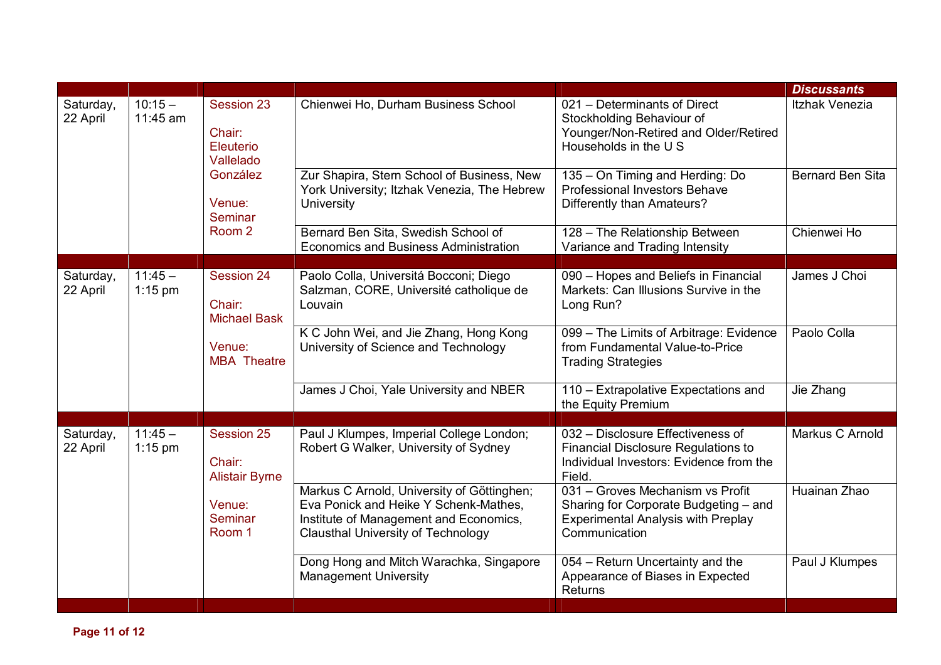|                       |                                                                                                        |                                                                                   |                                                                                                                                      |                                                                                                                                                                            | <b>Discussants</b>                                                                                                                      |
|-----------------------|--------------------------------------------------------------------------------------------------------|-----------------------------------------------------------------------------------|--------------------------------------------------------------------------------------------------------------------------------------|----------------------------------------------------------------------------------------------------------------------------------------------------------------------------|-----------------------------------------------------------------------------------------------------------------------------------------|
| Saturday,<br>22 April | $10:15 -$<br>11:45 am                                                                                  | Session 23<br>Chair:<br>Eleuterio<br>Vallelado                                    | Chienwei Ho, Durham Business School                                                                                                  | 021 - Determinants of Direct<br>Stockholding Behaviour of<br>Younger/Non-Retired and Older/Retired<br>Households in the U S                                                | Itzhak Venezia                                                                                                                          |
|                       |                                                                                                        | González<br>Venue:<br>Seminar                                                     | Zur Shapira, Stern School of Business, New<br>York University; Itzhak Venezia, The Hebrew<br><b>University</b>                       | 135 - On Timing and Herding: Do<br><b>Professional Investors Behave</b><br>Differently than Amateurs?                                                                      | <b>Bernard Ben Sita</b>                                                                                                                 |
|                       |                                                                                                        | Room <sub>2</sub>                                                                 | Bernard Ben Sita, Swedish School of<br><b>Economics and Business Administration</b>                                                  | 128 - The Relationship Between<br>Variance and Trading Intensity                                                                                                           | Chienwei Ho                                                                                                                             |
|                       |                                                                                                        |                                                                                   |                                                                                                                                      |                                                                                                                                                                            |                                                                                                                                         |
| Saturday,<br>22 April | $11:45 -$<br>$1:15$ pm                                                                                 | Session 24<br>Chair:<br><b>Michael Bask</b>                                       | Paolo Colla, Universitá Bocconi; Diego<br>Salzman, CORE, Université catholique de<br>Louvain                                         | 090 - Hopes and Beliefs in Financial<br>Markets: Can Illusions Survive in the<br>Long Run?                                                                                 | James J Choi                                                                                                                            |
|                       |                                                                                                        | Venue:<br><b>MBA</b> Theatre                                                      | K C John Wei, and Jie Zhang, Hong Kong<br>University of Science and Technology                                                       | 099 - The Limits of Arbitrage: Evidence<br>from Fundamental Value-to-Price<br><b>Trading Strategies</b>                                                                    | Paolo Colla                                                                                                                             |
|                       |                                                                                                        |                                                                                   | James J Choi, Yale University and NBER                                                                                               | 110 - Extrapolative Expectations and<br>the Equity Premium                                                                                                                 | Jie Zhang                                                                                                                               |
|                       |                                                                                                        |                                                                                   |                                                                                                                                      |                                                                                                                                                                            |                                                                                                                                         |
| Saturday,<br>22 April | $11:45 -$<br>Session 25<br>$1:15$ pm<br>Chair:<br><b>Alistair Byrne</b><br>Venue:<br>Seminar<br>Room 1 | Paul J Klumpes, Imperial College London;<br>Robert G Walker, University of Sydney | 032 - Disclosure Effectiveness of<br><b>Financial Disclosure Regulations to</b><br>Individual Investors: Evidence from the<br>Field. | Markus C Arnold                                                                                                                                                            |                                                                                                                                         |
|                       |                                                                                                        |                                                                                   |                                                                                                                                      | Markus C Arnold, University of Göttinghen;<br>Eva Ponick and Heike Y Schenk-Mathes,<br>Institute of Management and Economics,<br><b>Clausthal University of Technology</b> | 031 - Groves Mechanism vs Profit<br>Sharing for Corporate Budgeting - and<br><b>Experimental Analysis with Preplay</b><br>Communication |
|                       |                                                                                                        |                                                                                   | Dong Hong and Mitch Warachka, Singapore<br><b>Management University</b>                                                              | 054 - Return Uncertainty and the<br>Appearance of Biases in Expected<br>Returns                                                                                            | Paul J Klumpes                                                                                                                          |
|                       |                                                                                                        |                                                                                   |                                                                                                                                      |                                                                                                                                                                            |                                                                                                                                         |